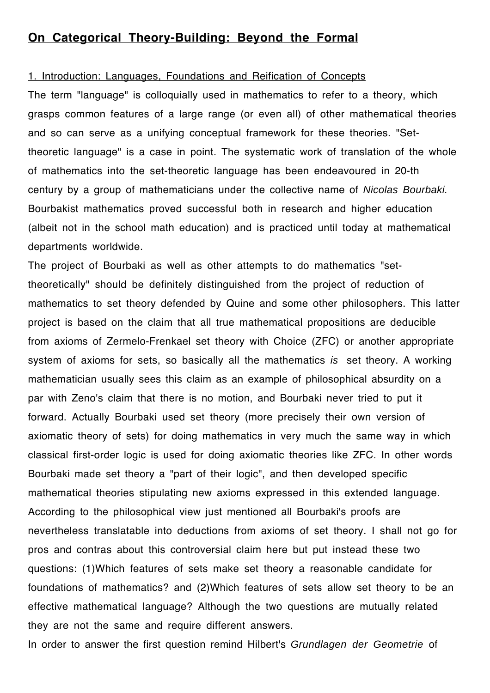# **On Categorical Theory-Building: Beyond the Formal**

#### 1. Introduction: Languages, Foundations and Reification of Concepts

The term "language" is colloquially used in mathematics to refer to a theory, which grasps common features of a large range (or even all) of other mathematical theories and so can serve as a unifying conceptual framework for these theories. "Settheoretic language" is a case in point. The systematic work of translation of the whole of mathematics into the set-theoretic language has been endeavoured in 20-th century by a group of mathematicians under the collective name of *Nicolas Bourbaki.*  Bourbakist mathematics proved successful both in research and higher education (albeit not in the school math education) and is practiced until today at mathematical departments worldwide.

The project of Bourbaki as well as other attempts to do mathematics "settheoretically" should be definitely distinguished from the project of reduction of mathematics to set theory defended by Quine and some other philosophers. This latter project is based on the claim that all true mathematical propositions are deducible from axioms of Zermelo-Frenkael set theory with Choice (ZFC) or another appropriate system of axioms for sets, so basically all the mathematics *is* set theory. A working mathematician usually sees this claim as an example of philosophical absurdity on a par with Zeno's claim that there is no motion, and Bourbaki never tried to put it forward. Actually Bourbaki used set theory (more precisely their own version of axiomatic theory of sets) for doing mathematics in very much the same way in which classical first-order logic is used for doing axiomatic theories like ZFC. In other words Bourbaki made set theory a "part of their logic", and then developed specific mathematical theories stipulating new axioms expressed in this extended language. According to the philosophical view just mentioned all Bourbaki's proofs are nevertheless translatable into deductions from axioms of set theory. I shall not go for pros and contras about this controversial claim here but put instead these two questions: (1)Which features of sets make set theory a reasonable candidate for foundations of mathematics? and (2)Which features of sets allow set theory to be an effective mathematical language? Although the two questions are mutually related they are not the same and require different answers.

In order to answer the first question remind Hilbert's *Grundlagen der Geometrie* of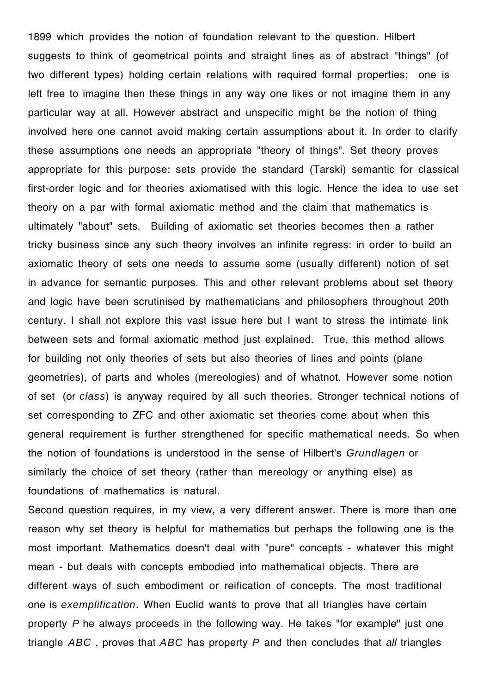1899 which provides the notion of foundation relevant to the question. Hilbert suggests to think of geometrical points and straight lines as of abstract "things" (of two different types) holding certain relations with required formal properties; one is left free to imagine then these things in any way one likes or not imagine them in any particular way at all. However abstract and unspecific might be the notion of thing involved here one cannot avoid making certain assumptions about it. In order to clarify these assumptions one needs an appropriate "theory of things". Set theory proves appropriate for this purpose: sets provide the standard (Tarski) semantic for classical first-order logic and for theories axiomatised with this logic. Hence the idea to use set theory on a par with formal axiomatic method and the claim that mathematics is ultimately "about" sets. Building of axiomatic set theories becomes then a rather tricky business since any such theory involves an infinite regress: in order to build an axiomatic theory of sets one needs to assume some (usually different) notion of set in advance for semantic purposes. This and other relevant problems about set theory and logic have been scrutinised by mathematicians and philosophers throughout 20th century. I shall not explore this vast issue here but I want to stress the intimate link between sets and formal axiomatic method just explained. True, this method allows for building not only theories of sets but also theories of lines and points (plane geometries), of parts and wholes (mereologies) and of whatnot. However some notion of set (or *class*) is anyway required by all such theories. Stronger technical notions of set corresponding to ZFC and other axiomatic set theories come about when this general requirement is further strengthened for specific mathematical needs. So when the notion of foundations is understood in the sense of Hilbert's *Grundlagen* or similarly the choice of set theory (rather than mereology or anything else) as foundations of mathematics is natural.

Second question requires, in my view, a very different answer. There is more than one reason why set theory is helpful for mathematics but perhaps the following one is the most important. Mathematics doesn't deal with "pure" concepts - whatever this might mean - but deals with concepts embodied into mathematical objects. There are different ways of such embodiment or reification of concepts. The most traditional one is *exemplification*. When Euclid wants to prove that all triangles have certain property *P* he always proceeds in the following way. He takes "for example" just one triangle *ABC* , proves that *ABC* has property *P* and then concludes that *all* triangles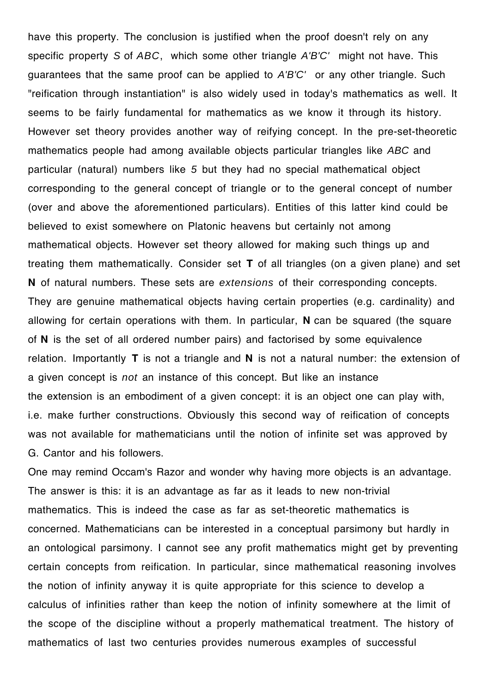have this property. The conclusion is justified when the proof doesn't rely on any specific property *S* of *ABC*, which some other triangle *A'B'C'* might not have. This guarantees that the same proof can be applied to *A'B'C'* or any other triangle. Such "reification through instantiation" is also widely used in today's mathematics as well. It seems to be fairly fundamental for mathematics as we know it through its history. However set theory provides another way of reifying concept. In the pre-set-theoretic mathematics people had among available objects particular triangles like *ABC* and particular (natural) numbers like *5* but they had no special mathematical object corresponding to the general concept of triangle or to the general concept of number (over and above the aforementioned particulars). Entities of this latter kind could be believed to exist somewhere on Platonic heavens but certainly not among mathematical objects. However set theory allowed for making such things up and treating them mathematically. Consider set **T** of all triangles (on a given plane) and set **N** of natural numbers. These sets are *extensions* of their corresponding concepts. They are genuine mathematical objects having certain properties (e.g. cardinality) and allowing for certain operations with them. In particular, **N** can be squared (the square of **N** is the set of all ordered number pairs) and factorised by some equivalence relation. Importantly **T** is not a triangle and **N** is not a natural number: the extension of a given concept is *not* an instance of this concept. But like an instance the extension is an embodiment of a given concept: it is an object one can play with, i.e. make further constructions. Obviously this second way of reification of concepts was not available for mathematicians until the notion of infinite set was approved by G. Cantor and his followers.

One may remind Occam's Razor and wonder why having more objects is an advantage. The answer is this: it is an advantage as far as it leads to new non-trivial mathematics. This is indeed the case as far as set-theoretic mathematics is concerned. Mathematicians can be interested in a conceptual parsimony but hardly in an ontological parsimony. I cannot see any profit mathematics might get by preventing certain concepts from reification. In particular, since mathematical reasoning involves the notion of infinity anyway it is quite appropriate for this science to develop a calculus of infinities rather than keep the notion of infinity somewhere at the limit of the scope of the discipline without a properly mathematical treatment. The history of mathematics of last two centuries provides numerous examples of successful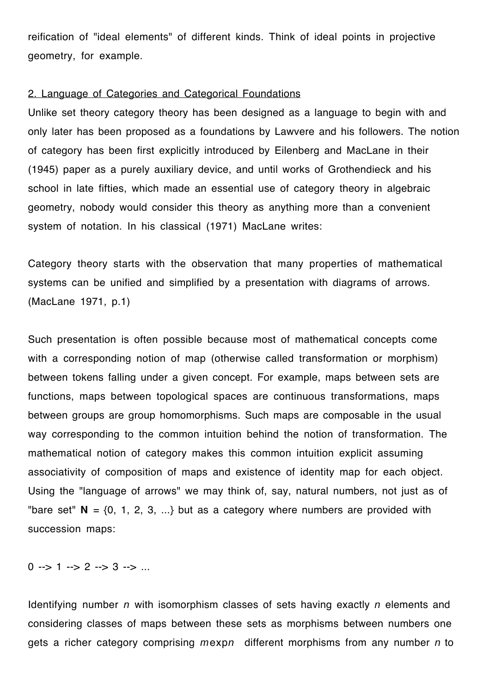reification of "ideal elements" of different kinds. Think of ideal points in projective geometry, for example.

### 2. Language of Categories and Categorical Foundations

Unlike set theory category theory has been designed as a language to begin with and only later has been proposed as a foundations by Lawvere and his followers. The notion of category has been first explicitly introduced by Eilenberg and MacLane in their (1945) paper as a purely auxiliary device, and until works of Grothendieck and his school in late fifties, which made an essential use of category theory in algebraic geometry, nobody would consider this theory as anything more than a convenient system of notation. In his classical (1971) MacLane writes:

Category theory starts with the observation that many properties of mathematical systems can be unified and simplified by a presentation with diagrams of arrows. (MacLane 1971, p.1)

Such presentation is often possible because most of mathematical concepts come with a corresponding notion of map (otherwise called transformation or morphism) between tokens falling under a given concept. For example, maps between sets are functions, maps between topological spaces are continuous transformations, maps between groups are group homomorphisms. Such maps are composable in the usual way corresponding to the common intuition behind the notion of transformation. The mathematical notion of category makes this common intuition explicit assuming associativity of composition of maps and existence of identity map for each object. Using the "language of arrows" we may think of, say, natural numbers, not just as of "bare set"  $N = \{0, 1, 2, 3, ...\}$  but as a category where numbers are provided with succession maps:

 $0 \rightarrow 1 \rightarrow 2 \rightarrow 3 \rightarrow ...$ 

Identifying number *n* with isomorphism classes of sets having exactly *n* elements and considering classes of maps between these sets as morphisms between numbers one gets a richer category comprising *m*exp*n* different morphisms from any number *n* to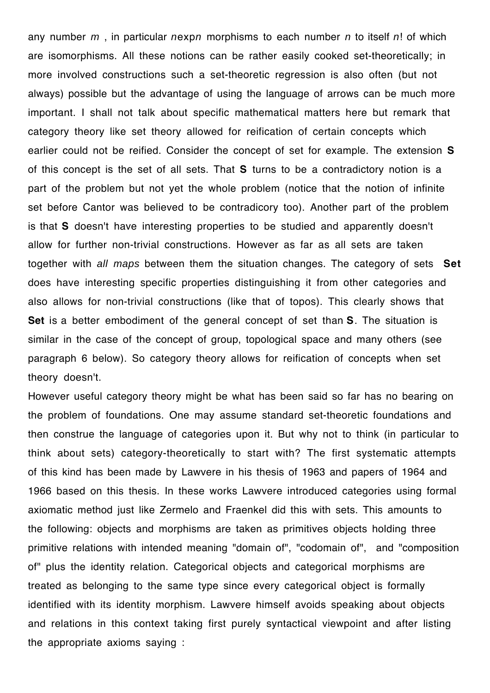any number *m* , in particular *n*exp*n* morphisms to each number *n* to itself *n*! of which are isomorphisms. All these notions can be rather easily cooked set-theoretically; in more involved constructions such a set-theoretic regression is also often (but not always) possible but the advantage of using the language of arrows can be much more important. I shall not talk about specific mathematical matters here but remark that category theory like set theory allowed for reification of certain concepts which earlier could not be reified. Consider the concept of set for example. The extension **S**  of this concept is the set of all sets. That **S** turns to be a contradictory notion is a part of the problem but not yet the whole problem (notice that the notion of infinite set before Cantor was believed to be contradicory too). Another part of the problem is that **S** doesn't have interesting properties to be studied and apparently doesn't allow for further non-trivial constructions. However as far as all sets are taken together with *all maps* between them the situation changes. The category of sets **Set** does have interesting specific properties distinguishing it from other categories and also allows for non-trivial constructions (like that of topos). This clearly shows that **Set** is a better embodiment of the general concept of set than **S**. The situation is similar in the case of the concept of group, topological space and many others (see paragraph 6 below). So category theory allows for reification of concepts when set theory doesn't.

However useful category theory might be what has been said so far has no bearing on the problem of foundations. One may assume standard set-theoretic foundations and then construe the language of categories upon it. But why not to think (in particular to think about sets) category-theoretically to start with? The first systematic attempts of this kind has been made by Lawvere in his thesis of 1963 and papers of 1964 and 1966 based on this thesis. In these works Lawvere introduced categories using formal axiomatic method just like Zermelo and Fraenkel did this with sets. This amounts to the following: objects and morphisms are taken as primitives objects holding three primitive relations with intended meaning "domain of", "codomain of", and "composition of" plus the identity relation. Categorical objects and categorical morphisms are treated as belonging to the same type since every categorical object is formally identified with its identity morphism. Lawvere himself avoids speaking about objects and relations in this context taking first purely syntactical viewpoint and after listing the appropriate axioms saying :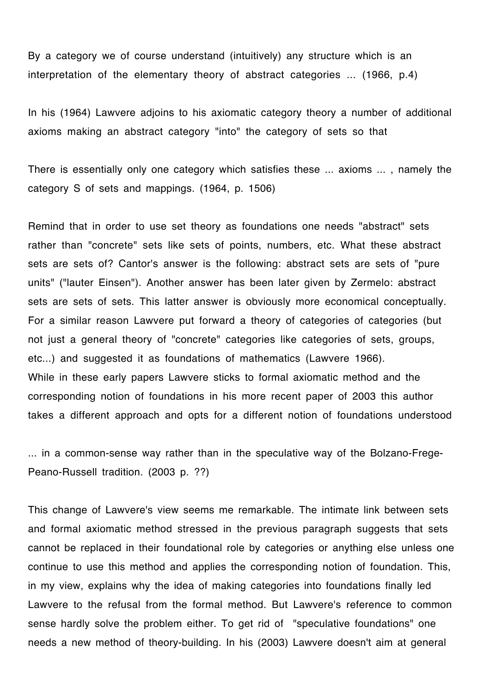By a category we of course understand (intuitively) any structure which is an interpretation of the elementary theory of abstract categories ... (1966, p.4)

In his (1964) Lawvere adjoins to his axiomatic category theory a number of additional axioms making an abstract category "into" the category of sets so that

There is essentially only one category which satisfies these ... axioms ... , namely the category S of sets and mappings. (1964, p. 1506)

Remind that in order to use set theory as foundations one needs "abstract" sets rather than "concrete" sets like sets of points, numbers, etc. What these abstract sets are sets of? Cantor's answer is the following: abstract sets are sets of "pure units" ("lauter Einsen"). Another answer has been later given by Zermelo: abstract sets are sets of sets. This latter answer is obviously more economical conceptually. For a similar reason Lawvere put forward a theory of categories of categories (but not just a general theory of "concrete" categories like categories of sets, groups, etc...) and suggested it as foundations of mathematics (Lawvere 1966). While in these early papers Lawvere sticks to formal axiomatic method and the corresponding notion of foundations in his more recent paper of 2003 this author takes a different approach and opts for a different notion of foundations understood

... in a common-sense way rather than in the speculative way of the Bolzano-Frege-Peano-Russell tradition. (2003 p. ??)

This change of Lawvere's view seems me remarkable. The intimate link between sets and formal axiomatic method stressed in the previous paragraph suggests that sets cannot be replaced in their foundational role by categories or anything else unless one continue to use this method and applies the corresponding notion of foundation. This, in my view, explains why the idea of making categories into foundations finally led Lawvere to the refusal from the formal method. But Lawvere's reference to common sense hardly solve the problem either. To get rid of "speculative foundations" one needs a new method of theory-building. In his (2003) Lawvere doesn't aim at general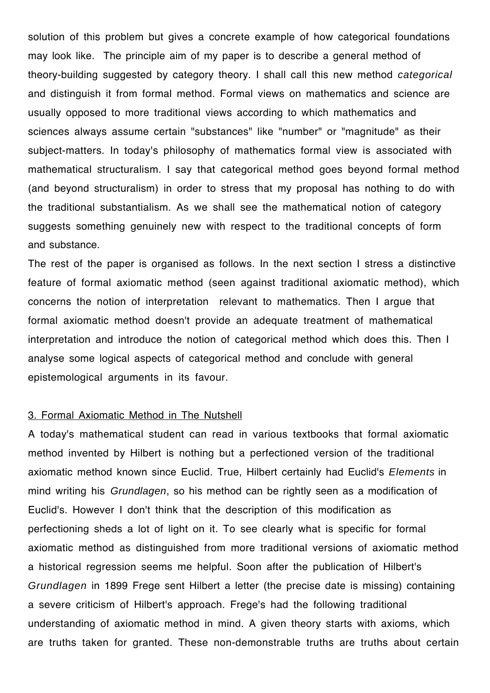solution of this problem but gives a concrete example of how categorical foundations may look like. The principle aim of my paper is to describe a general method of theory-building suggested by category theory. I shall call this new method *categorical* and distinguish it from formal method. Formal views on mathematics and science are usually opposed to more traditional views according to which mathematics and sciences always assume certain "substances" like "number" or "magnitude" as their subject-matters. In today's philosophy of mathematics formal view is associated with mathematical structuralism. I say that categorical method goes beyond formal method (and beyond structuralism) in order to stress that my proposal has nothing to do with the traditional substantialism. As we shall see the mathematical notion of category suggests something genuinely new with respect to the traditional concepts of form and substance.

The rest of the paper is organised as follows. In the next section I stress a distinctive feature of formal axiomatic method (seen against traditional axiomatic method), which concerns the notion of interpretation relevant to mathematics. Then I argue that formal axiomatic method doesn't provide an adequate treatment of mathematical interpretation and introduce the notion of categorical method which does this. Then I analyse some logical aspects of categorical method and conclude with general epistemological arguments in its favour.

### 3. Formal Axiomatic Method in The Nutshell

A today's mathematical student can read in various textbooks that formal axiomatic method invented by Hilbert is nothing but a perfectioned version of the traditional axiomatic method known since Euclid. True, Hilbert certainly had Euclid's *Elements* in mind writing his *Grundlagen*, so his method can be rightly seen as a modification of Euclid's. However I don't think that the description of this modification as perfectioning sheds a lot of light on it. To see clearly what is specific for formal axiomatic method as distinguished from more traditional versions of axiomatic method a historical regression seems me helpful. Soon after the publication of Hilbert's *Grundlagen* in 1899 Frege sent Hilbert a letter (the precise date is missing) containing a severe criticism of Hilbert's approach. Frege's had the following traditional understanding of axiomatic method in mind. A given theory starts with axioms, which are truths taken for granted. These non-demonstrable truths are truths about certain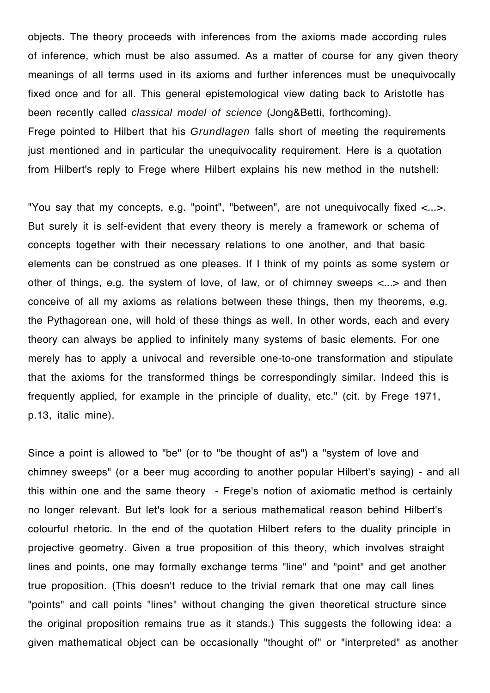objects. The theory proceeds with inferences from the axioms made according rules of inference, which must be also assumed. As a matter of course for any given theory meanings of all terms used in its axioms and further inferences must be unequivocally fixed once and for all. This general epistemological view dating back to Aristotle has been recently called *classical model of science* (Jong&Betti, forthcoming). Frege pointed to Hilbert that his *Grundlagen* falls short of meeting the requirements just mentioned and in particular the unequivocality requirement. Here is a quotation from Hilbert's reply to Frege where Hilbert explains his new method in the nutshell:

"You say that my concepts, e.g. "point", "between", are not unequivocally fixed <...>. But surely it is self-evident that every theory is merely a framework or schema of concepts together with their necessary relations to one another, and that basic elements can be construed as one pleases. If I think of my points as some system or other of things, e.g. the system of love, of law, or of chimney sweeps <...> and then conceive of all my axioms as relations between these things, then my theorems, e.g. the Pythagorean one, will hold of these things as well. In other words, each and every theory can always be applied to infinitely many systems of basic elements. For one merely has to apply a univocal and reversible one-to-one transformation and stipulate that the axioms for the transformed things be correspondingly similar. Indeed this is frequently applied, for example in the principle of duality, etc." (cit. by Frege 1971, p.13, italic mine).

Since a point is allowed to "be" (or to "be thought of as") a "system of love and chimney sweeps" (or a beer mug according to another popular Hilbert's saying) - and all this within one and the same theory - Frege's notion of axiomatic method is certainly no longer relevant. But let's look for a serious mathematical reason behind Hilbert's colourful rhetoric. In the end of the quotation Hilbert refers to the duality principle in projective geometry. Given a true proposition of this theory, which involves straight lines and points, one may formally exchange terms "line" and "point" and get another true proposition. (This doesn't reduce to the trivial remark that one may call lines "points" and call points "lines" without changing the given theoretical structure since the original proposition remains true as it stands.) This suggests the following idea: a given mathematical object can be occasionally "thought of" or "interpreted" as another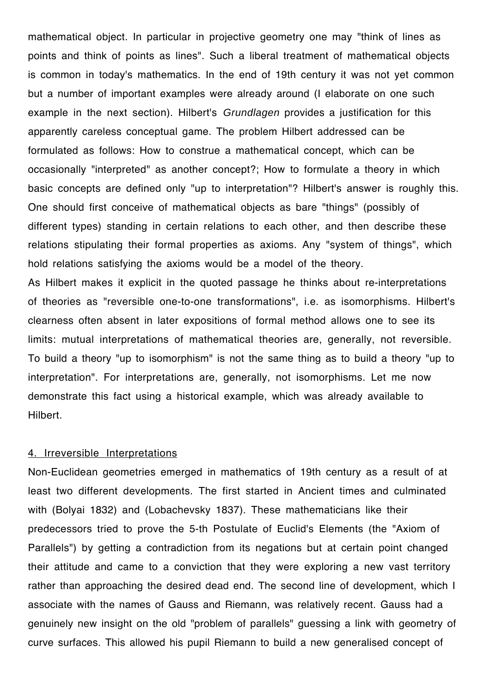mathematical object. In particular in projective geometry one may "think of lines as points and think of points as lines". Such a liberal treatment of mathematical objects is common in today's mathematics. In the end of 19th century it was not yet common but a number of important examples were already around (I elaborate on one such example in the next section). Hilbert's *Grundlagen* provides a justification for this apparently careless conceptual game. The problem Hilbert addressed can be formulated as follows: How to construe a mathematical concept, which can be occasionally "interpreted" as another concept?; How to formulate a theory in which basic concepts are defined only "up to interpretation"? Hilbert's answer is roughly this. One should first conceive of mathematical objects as bare "things" (possibly of different types) standing in certain relations to each other, and then describe these relations stipulating their formal properties as axioms. Any "system of things", which hold relations satisfying the axioms would be a model of the theory. As Hilbert makes it explicit in the quoted passage he thinks about re-interpretations of theories as "reversible one-to-one transformations", i.e. as isomorphisms. Hilbert's clearness often absent in later expositions of formal method allows one to see its limits: mutual interpretations of mathematical theories are, generally, not reversible. To build a theory "up to isomorphism" is not the same thing as to build a theory "up to interpretation". For interpretations are, generally, not isomorphisms. Let me now demonstrate this fact using a historical example, which was already available to

Hilbert.

### 4. Irreversible Interpretations

Non-Euclidean geometries emerged in mathematics of 19th century as a result of at least two different developments. The first started in Ancient times and culminated with (Bolyai 1832) and (Lobachevsky 1837). These mathematicians like their predecessors tried to prove the 5-th Postulate of Euclid's Elements (the "Axiom of Parallels") by getting a contradiction from its negations but at certain point changed their attitude and came to a conviction that they were exploring a new vast territory rather than approaching the desired dead end. The second line of development, which I associate with the names of Gauss and Riemann, was relatively recent. Gauss had a genuinely new insight on the old "problem of parallels" guessing a link with geometry of curve surfaces. This allowed his pupil Riemann to build a new generalised concept of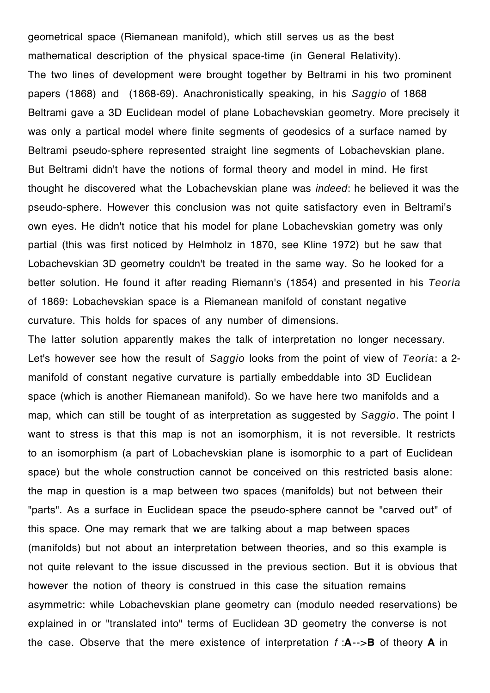geometrical space (Riemanean manifold), which still serves us as the best mathematical description of the physical space-time (in General Relativity). The two lines of development were brought together by Beltrami in his two prominent papers (1868) and (1868-69). Anachronistically speaking, in his *Saggio* of 1868 Beltrami gave a 3D Euclidean model of plane Lobachevskian geometry. More precisely it was only a partical model where finite segments of geodesics of a surface named by Beltrami pseudo-sphere represented straight line segments of Lobachevskian plane. But Beltrami didn't have the notions of formal theory and model in mind. He first thought he discovered what the Lobachevskian plane was *indeed*: he believed it was the pseudo-sphere. However this conclusion was not quite satisfactory even in Beltrami's own eyes. He didn't notice that his model for plane Lobachevskian gometry was only partial (this was first noticed by Helmholz in 1870, see Kline 1972) but he saw that Lobachevskian 3D geometry couldn't be treated in the same way. So he looked for a better solution. He found it after reading Riemann's (1854) and presented in his *Teoria* of 1869: Lobachevskian space is a Riemanean manifold of constant negative curvature. This holds for spaces of any number of dimensions.

The latter solution apparently makes the talk of interpretation no longer necessary. Let's however see how the result of *Saggio* looks from the point of view of *Teoria*: a 2 manifold of constant negative curvature is partially embeddable into 3D Euclidean space (which is another Riemanean manifold). So we have here two manifolds and a map, which can still be tought of as interpretation as suggested by *Saggio*. The point I want to stress is that this map is not an isomorphism, it is not reversible. It restricts to an isomorphism (a part of Lobachevskian plane is isomorphic to a part of Euclidean space) but the whole construction cannot be conceived on this restricted basis alone: the map in question is a map between two spaces (manifolds) but not between their "parts". As a surface in Euclidean space the pseudo-sphere cannot be "carved out" of this space. One may remark that we are talking about a map between spaces (manifolds) but not about an interpretation between theories, and so this example is not quite relevant to the issue discussed in the previous section. But it is obvious that however the notion of theory is construed in this case the situation remains asymmetric: while Lobachevskian plane geometry can (modulo needed reservations) be explained in or "translated into" terms of Euclidean 3D geometry the converse is not the case. Observe that the mere existence of interpretation *f* :**A**-->**B** of theory **A** in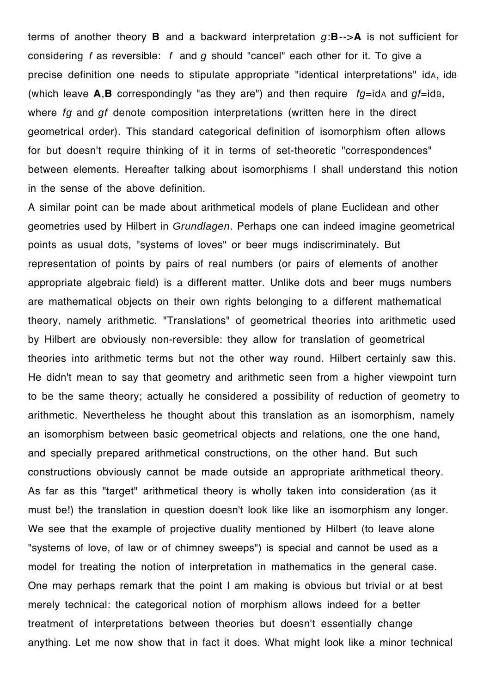terms of another theory **B** and a backward interpretation *g*:**B**-->**A** is not sufficient for considering *f* as reversible: *f* and *g* should "cancel" each other for it. To give a precise definition one needs to stipulate appropriate "identical interpretations" idA, idB (which leave  $\mathbf{A}, \mathbf{B}$  correspondingly "as they are") and then require  $fq=ida$  and  $qf=idB$ , where *fg* and *gf* denote composition interpretations (written here in the direct geometrical order). This standard categorical definition of isomorphism often allows for but doesn't require thinking of it in terms of set-theoretic "correspondences" between elements. Hereafter talking about isomorphisms I shall understand this notion in the sense of the above definition.

A similar point can be made about arithmetical models of plane Euclidean and other geometries used by Hilbert in *Grundlagen*. Perhaps one can indeed imagine geometrical points as usual dots, "systems of loves" or beer mugs indiscriminately. But representation of points by pairs of real numbers (or pairs of elements of another appropriate algebraic field) is a different matter. Unlike dots and beer mugs numbers are mathematical objects on their own rights belonging to a different mathematical theory, namely arithmetic. "Translations" of geometrical theories into arithmetic used by Hilbert are obviously non-reversible: they allow for translation of geometrical theories into arithmetic terms but not the other way round. Hilbert certainly saw this. He didn't mean to say that geometry and arithmetic seen from a higher viewpoint turn to be the same theory; actually he considered a possibility of reduction of geometry to arithmetic. Nevertheless he thought about this translation as an isomorphism, namely an isomorphism between basic geometrical objects and relations, one the one hand, and specially prepared arithmetical constructions, on the other hand. But such constructions obviously cannot be made outside an appropriate arithmetical theory. As far as this "target" arithmetical theory is wholly taken into consideration (as it must be!) the translation in question doesn't look like like an isomorphism any longer. We see that the example of projective duality mentioned by Hilbert (to leave alone "systems of love, of law or of chimney sweeps") is special and cannot be used as a model for treating the notion of interpretation in mathematics in the general case. One may perhaps remark that the point I am making is obvious but trivial or at best merely technical: the categorical notion of morphism allows indeed for a better treatment of interpretations between theories but doesn't essentially change anything. Let me now show that in fact it does. What might look like a minor technical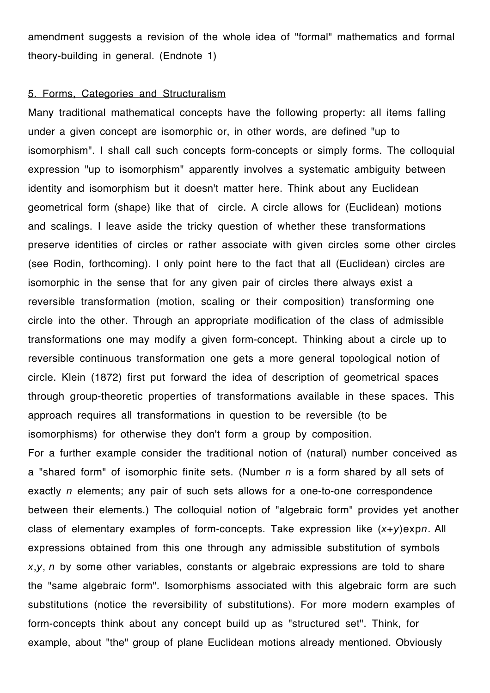amendment suggests a revision of the whole idea of "formal" mathematics and formal theory-building in general. (Endnote 1)

### 5. Forms, Categories and Structuralism

Many traditional mathematical concepts have the following property: all items falling under a given concept are isomorphic or, in other words, are defined "up to isomorphism". I shall call such concepts form-concepts or simply forms. The colloquial expression "up to isomorphism" apparently involves a systematic ambiguity between identity and isomorphism but it doesn't matter here. Think about any Euclidean geometrical form (shape) like that of circle. A circle allows for (Euclidean) motions and scalings. I leave aside the tricky question of whether these transformations preserve identities of circles or rather associate with given circles some other circles (see Rodin, forthcoming). I only point here to the fact that all (Euclidean) circles are isomorphic in the sense that for any given pair of circles there always exist a reversible transformation (motion, scaling or their composition) transforming one circle into the other. Through an appropriate modification of the class of admissible transformations one may modify a given form-concept. Thinking about a circle up to reversible continuous transformation one gets a more general topological notion of circle. Klein (1872) first put forward the idea of description of geometrical spaces through group-theoretic properties of transformations available in these spaces. This approach requires all transformations in question to be reversible (to be isomorphisms) for otherwise they don't form a group by composition. For a further example consider the traditional notion of (natural) number conceived as a "shared form" of isomorphic finite sets. (Number *n* is a form shared by all sets of exactly *n* elements; any pair of such sets allows for a one-to-one correspondence between their elements.) The colloquial notion of "algebraic form" provides yet another class of elementary examples of form-concepts. Take expression like (*x*+*y*)exp*n*. All expressions obtained from this one through any admissible substitution of symbols *x*,*y*, *n* by some other variables, constants or algebraic expressions are told to share

the "same algebraic form". Isomorphisms associated with this algebraic form are such substitutions (notice the reversibility of substitutions). For more modern examples of form-concepts think about any concept build up as "structured set". Think, for example, about "the" group of plane Euclidean motions already mentioned. Obviously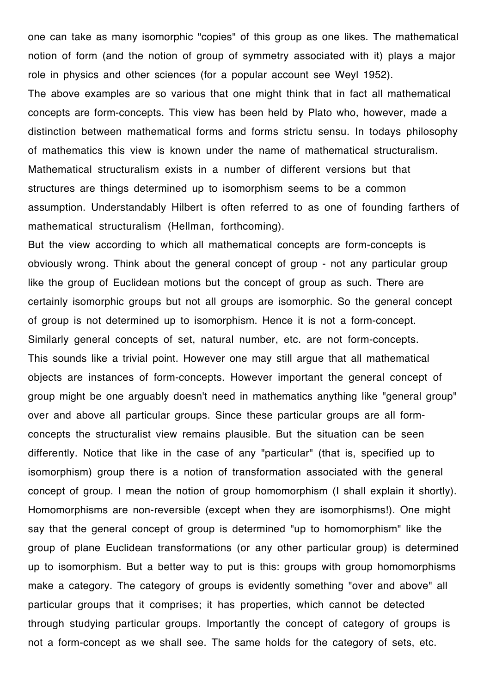one can take as many isomorphic "copies" of this group as one likes. The mathematical notion of form (and the notion of group of symmetry associated with it) plays a major role in physics and other sciences (for a popular account see Weyl 1952). The above examples are so various that one might think that in fact all mathematical concepts are form-concepts. This view has been held by Plato who, however, made a distinction between mathematical forms and forms strictu sensu. In todays philosophy of mathematics this view is known under the name of mathematical structuralism. Mathematical structuralism exists in a number of different versions but that structures are things determined up to isomorphism seems to be a common assumption. Understandably Hilbert is often referred to as one of founding farthers of mathematical structuralism (Hellman, forthcoming).

But the view according to which all mathematical concepts are form-concepts is obviously wrong. Think about the general concept of group - not any particular group like the group of Euclidean motions but the concept of group as such. There are certainly isomorphic groups but not all groups are isomorphic. So the general concept of group is not determined up to isomorphism. Hence it is not a form-concept. Similarly general concepts of set, natural number, etc. are not form-concepts. This sounds like a trivial point. However one may still argue that all mathematical objects are instances of form-concepts. However important the general concept of group might be one arguably doesn't need in mathematics anything like "general group" over and above all particular groups. Since these particular groups are all formconcepts the structuralist view remains plausible. But the situation can be seen differently. Notice that like in the case of any "particular" (that is, specified up to isomorphism) group there is a notion of transformation associated with the general concept of group. I mean the notion of group homomorphism (I shall explain it shortly). Homomorphisms are non-reversible (except when they are isomorphisms!). One might say that the general concept of group is determined "up to homomorphism" like the group of plane Euclidean transformations (or any other particular group) is determined up to isomorphism. But a better way to put is this: groups with group homomorphisms make a category. The category of groups is evidently something "over and above" all particular groups that it comprises; it has properties, which cannot be detected through studying particular groups. Importantly the concept of category of groups is not a form-concept as we shall see. The same holds for the category of sets, etc.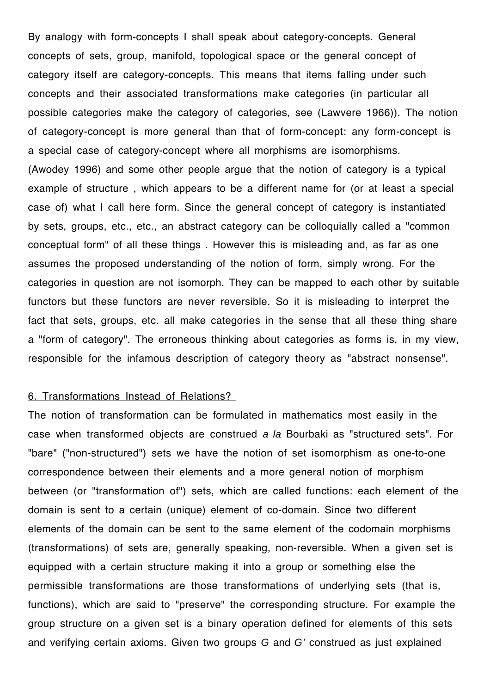By analogy with form-concepts I shall speak about category-concepts. General concepts of sets, group, manifold, topological space or the general concept of category itself are category-concepts. This means that items falling under such concepts and their associated transformations make categories (in particular all possible categories make the category of categories, see (Lawvere 1966)). The notion of category-concept is more general than that of form-concept: any form-concept is a special case of category-concept where all morphisms are isomorphisms. (Awodey 1996) and some other people argue that the notion of category is a typical example of structure , which appears to be a different name for (or at least a special case of) what I call here form. Since the general concept of category is instantiated by sets, groups, etc., etc., an abstract category can be colloquially called a "common conceptual form" of all these things . However this is misleading and, as far as one assumes the proposed understanding of the notion of form, simply wrong. For the categories in question are not isomorph. They can be mapped to each other by suitable functors but these functors are never reversible. So it is misleading to interpret the fact that sets, groups, etc. all make categories in the sense that all these thing share a "form of category". The erroneous thinking about categories as forms is, in my view, responsible for the infamous description of category theory as "abstract nonsense".

### 6. Transformations Instead of Relations?

The notion of transformation can be formulated in mathematics most easily in the case when transformed objects are construed *a la* Bourbaki as "structured sets". For "bare" ("non-structured") sets we have the notion of set isomorphism as one-to-one correspondence between their elements and a more general notion of morphism between (or "transformation of") sets, which are called functions: each element of the domain is sent to a certain (unique) element of co-domain. Since two different elements of the domain can be sent to the same element of the codomain morphisms (transformations) of sets are, generally speaking, non-reversible. When a given set is equipped with a certain structure making it into a group or something else the permissible transformations are those transformations of underlying sets (that is, functions), which are said to "preserve" the corresponding structure. For example the group structure on a given set is a binary operation defined for elements of this sets and verifying certain axioms. Given two groups *G* and *G'* construed as just explained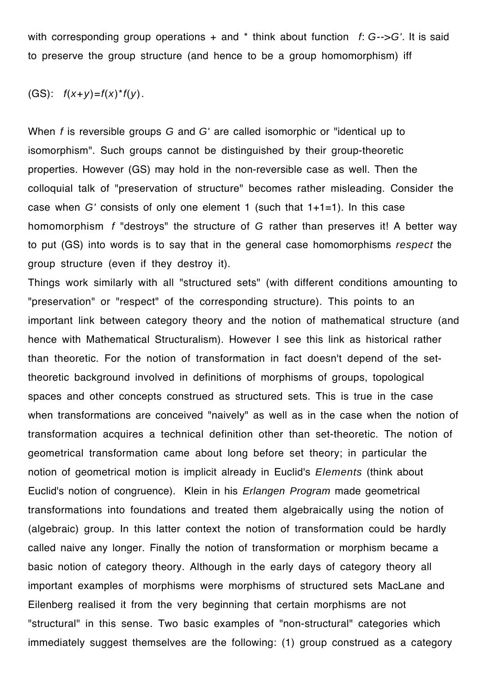with corresponding group operations + and \* think about function *f*: *G*-->*G'*. It is said to preserve the group structure (and hence to be a group homomorphism) iff

### (GS): *f*(*x*+*y*)=*f*(*x*)\**f*(*y*).

When *f* is reversible groups *G* and *G'* are called isomorphic or "identical up to isomorphism". Such groups cannot be distinguished by their group-theoretic properties. However (GS) may hold in the non-reversible case as well. Then the colloquial talk of "preservation of structure" becomes rather misleading. Consider the case when *G'* consists of only one element 1 (such that 1+1=1). In this case homomorphism *f* "destroys" the structure of *G* rather than preserves it! A better way to put (GS) into words is to say that in the general case homomorphisms *respect* the group structure (even if they destroy it).

Things work similarly with all "structured sets" (with different conditions amounting to "preservation" or "respect" of the corresponding structure). This points to an important link between category theory and the notion of mathematical structure (and hence with Mathematical Structuralism). However I see this link as historical rather than theoretic. For the notion of transformation in fact doesn't depend of the settheoretic background involved in definitions of morphisms of groups, topological spaces and other concepts construed as structured sets. This is true in the case when transformations are conceived "naively" as well as in the case when the notion of transformation acquires a technical definition other than set-theoretic. The notion of geometrical transformation came about long before set theory; in particular the notion of geometrical motion is implicit already in Euclid's *Elements* (think about Euclid's notion of congruence). Klein in his *Erlangen Program* made geometrical transformations into foundations and treated them algebraically using the notion of (algebraic) group. In this latter context the notion of transformation could be hardly called naive any longer. Finally the notion of transformation or morphism became a basic notion of category theory. Although in the early days of category theory all important examples of morphisms were morphisms of structured sets MacLane and Eilenberg realised it from the very beginning that certain morphisms are not "structural" in this sense. Two basic examples of "non-structural" categories which immediately suggest themselves are the following: (1) group construed as a category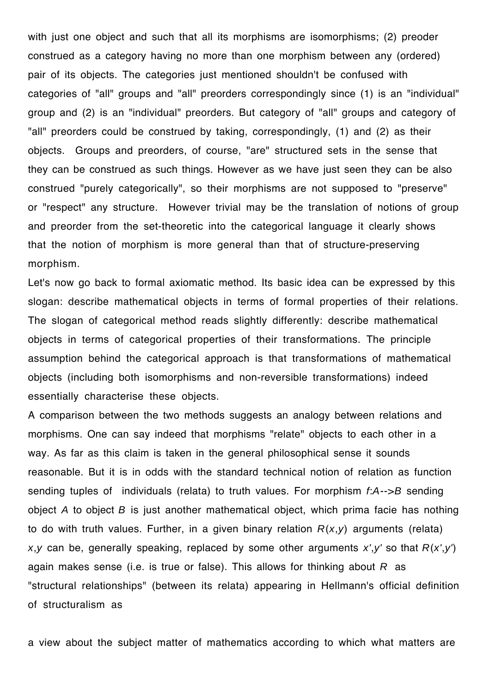with just one object and such that all its morphisms are isomorphisms; (2) preoder construed as a category having no more than one morphism between any (ordered) pair of its objects. The categories just mentioned shouldn't be confused with categories of "all" groups and "all" preorders correspondingly since (1) is an "individual" group and (2) is an "individual" preorders. But category of "all" groups and category of "all" preorders could be construed by taking, correspondingly, (1) and (2) as their objects. Groups and preorders, of course, "are" structured sets in the sense that they can be construed as such things. However as we have just seen they can be also construed "purely categorically", so their morphisms are not supposed to "preserve" or "respect" any structure. However trivial may be the translation of notions of group and preorder from the set-theoretic into the categorical language it clearly shows that the notion of morphism is more general than that of structure-preserving morphism.

Let's now go back to formal axiomatic method. Its basic idea can be expressed by this slogan: describe mathematical objects in terms of formal properties of their relations. The slogan of categorical method reads slightly differently: describe mathematical objects in terms of categorical properties of their transformations. The principle assumption behind the categorical approach is that transformations of mathematical objects (including both isomorphisms and non-reversible transformations) indeed essentially characterise these objects.

A comparison between the two methods suggests an analogy between relations and morphisms. One can say indeed that morphisms "relate" objects to each other in a way. As far as this claim is taken in the general philosophical sense it sounds reasonable. But it is in odds with the standard technical notion of relation as function sending tuples of individuals (relata) to truth values. For morphism *f*:*A*-->*B* sending object *A* to object *B* is just another mathematical object, which prima facie has nothing to do with truth values. Further, in a given binary relation *R*(*x*,*y*) arguments (relata) *x*,*y* can be, generally speaking, replaced by some other arguments *x'*,*y'* so that *R*(*x'*,*y'*) again makes sense (i.e. is true or false). This allows for thinking about *R* as "structural relationships" (between its relata) appearing in Hellmann's official definition of structuralism as

a view about the subject matter of mathematics according to which what matters are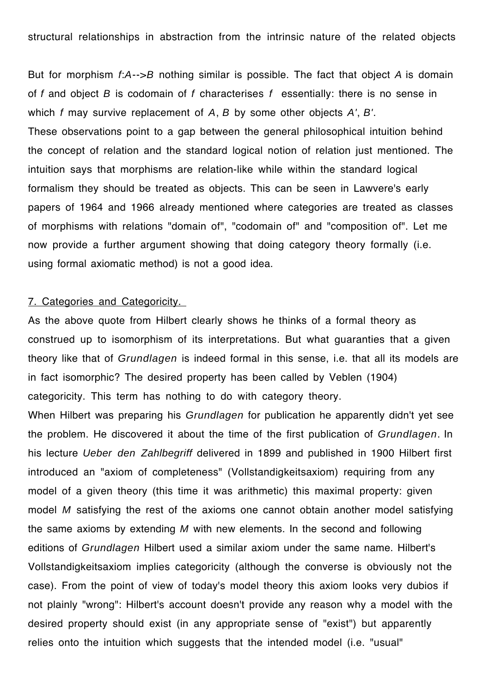structural relationships in abstraction from the intrinsic nature of the related objects

But for morphism *f*:*A*-->*B* nothing similar is possible. The fact that object *A* is domain of *f* and object *B* is codomain of *f* characterises *f* essentially: there is no sense in which *f* may survive replacement of *A*, *B* by some other objects *A'*, *B'*. These observations point to a gap between the general philosophical intuition behind the concept of relation and the standard logical notion of relation just mentioned. The intuition says that morphisms are relation-like while within the standard logical formalism they should be treated as objects. This can be seen in Lawvere's early papers of 1964 and 1966 already mentioned where categories are treated as classes of morphisms with relations "domain of", "codomain of" and "composition of". Let me now provide a further argument showing that doing category theory formally (i.e. using formal axiomatic method) is not a good idea.

## 7. Categories and Categoricity.

As the above quote from Hilbert clearly shows he thinks of a formal theory as construed up to isomorphism of its interpretations. But what guaranties that a given theory like that of *Grundlagen* is indeed formal in this sense, i.e. that all its models are in fact isomorphic? The desired property has been called by Veblen (1904) categoricity. This term has nothing to do with category theory.

When Hilbert was preparing his *Grundlagen* for publication he apparently didn't yet see the problem. He discovered it about the time of the first publication of *Grundlagen*. In his lecture *Ueber den Zahlbegriff* delivered in 1899 and published in 1900 Hilbert first introduced an "axiom of completeness" (Vollstandigkeitsaxiom) requiring from any model of a given theory (this time it was arithmetic) this maximal property: given model *M* satisfying the rest of the axioms one cannot obtain another model satisfying the same axioms by extending *M* with new elements. In the second and following editions of *Grundlagen* Hilbert used a similar axiom under the same name. Hilbert's Vollstandigkeitsaxiom implies categoricity (although the converse is obviously not the case). From the point of view of today's model theory this axiom looks very dubios if not plainly "wrong": Hilbert's account doesn't provide any reason why a model with the desired property should exist (in any appropriate sense of "exist") but apparently relies onto the intuition which suggests that the intended model (i.e. "usual"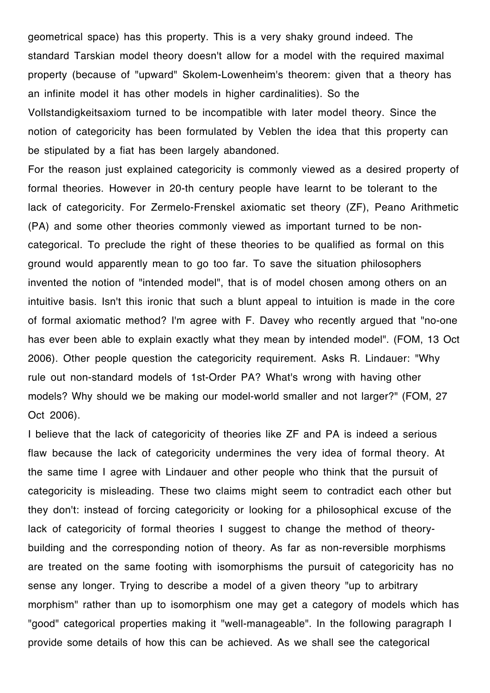geometrical space) has this property. This is a very shaky ground indeed. The standard Tarskian model theory doesn't allow for a model with the required maximal property (because of "upward" Skolem-Lowenheim's theorem: given that a theory has an infinite model it has other models in higher cardinalities). So the Vollstandigkeitsaxiom turned to be incompatible with later model theory. Since the notion of categoricity has been formulated by Veblen the idea that this property can be stipulated by a fiat has been largely abandoned.

For the reason just explained categoricity is commonly viewed as a desired property of formal theories. However in 20-th century people have learnt to be tolerant to the lack of categoricity. For Zermelo-Frenskel axiomatic set theory (ZF), Peano Arithmetic (PA) and some other theories commonly viewed as important turned to be noncategorical. To preclude the right of these theories to be qualified as formal on this ground would apparently mean to go too far. To save the situation philosophers invented the notion of "intended model", that is of model chosen among others on an intuitive basis. Isn't this ironic that such a blunt appeal to intuition is made in the core of formal axiomatic method? I'm agree with F. Davey who recently argued that "no-one has ever been able to explain exactly what they mean by intended model". (FOM, 13 Oct 2006). Other people question the categoricity requirement. Asks R. Lindauer: "Why rule out non-standard models of 1st-Order PA? What's wrong with having other models? Why should we be making our model-world smaller and not larger?" (FOM, 27 Oct 2006).

I believe that the lack of categoricity of theories like ZF and PA is indeed a serious flaw because the lack of categoricity undermines the very idea of formal theory. At the same time I agree with Lindauer and other people who think that the pursuit of categoricity is misleading. These two claims might seem to contradict each other but they don't: instead of forcing categoricity or looking for a philosophical excuse of the lack of categoricity of formal theories I suggest to change the method of theorybuilding and the corresponding notion of theory. As far as non-reversible morphisms are treated on the same footing with isomorphisms the pursuit of categoricity has no sense any longer. Trying to describe a model of a given theory "up to arbitrary morphism" rather than up to isomorphism one may get a category of models which has "good" categorical properties making it "well-manageable". In the following paragraph I provide some details of how this can be achieved. As we shall see the categorical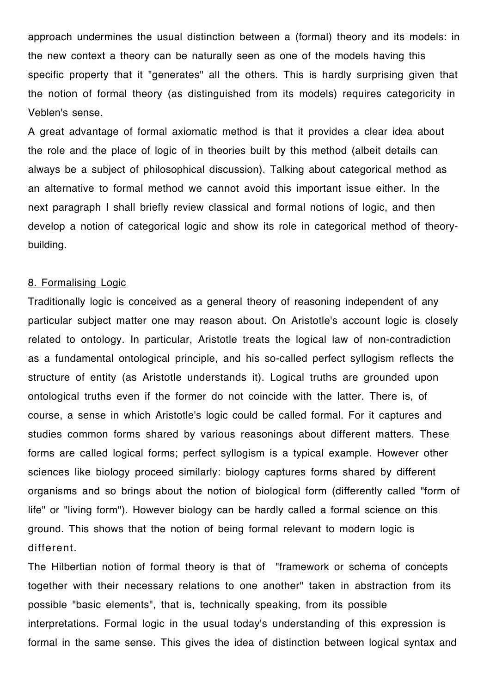approach undermines the usual distinction between a (formal) theory and its models: in the new context a theory can be naturally seen as one of the models having this specific property that it "generates" all the others. This is hardly surprising given that the notion of formal theory (as distinguished from its models) requires categoricity in Veblen's sense.

A great advantage of formal axiomatic method is that it provides a clear idea about the role and the place of logic of in theories built by this method (albeit details can always be a subject of philosophical discussion). Talking about categorical method as an alternative to formal method we cannot avoid this important issue either. In the next paragraph I shall briefly review classical and formal notions of logic, and then develop a notion of categorical logic and show its role in categorical method of theorybuilding.

### 8. Formalising Logic

Traditionally logic is conceived as a general theory of reasoning independent of any particular subject matter one may reason about. On Aristotle's account logic is closely related to ontology. In particular, Aristotle treats the logical law of non-contradiction as a fundamental ontological principle, and his so-called perfect syllogism reflects the structure of entity (as Aristotle understands it). Logical truths are grounded upon ontological truths even if the former do not coincide with the latter. There is, of course, a sense in which Aristotle's logic could be called formal. For it captures and studies common forms shared by various reasonings about different matters. These forms are called logical forms; perfect syllogism is a typical example. However other sciences like biology proceed similarly: biology captures forms shared by different organisms and so brings about the notion of biological form (differently called "form of life" or "living form"). However biology can be hardly called a formal science on this ground. This shows that the notion of being formal relevant to modern logic is different.

The Hilbertian notion of formal theory is that of "framework or schema of concepts together with their necessary relations to one another" taken in abstraction from its possible "basic elements", that is, technically speaking, from its possible interpretations. Formal logic in the usual today's understanding of this expression is formal in the same sense. This gives the idea of distinction between logical syntax and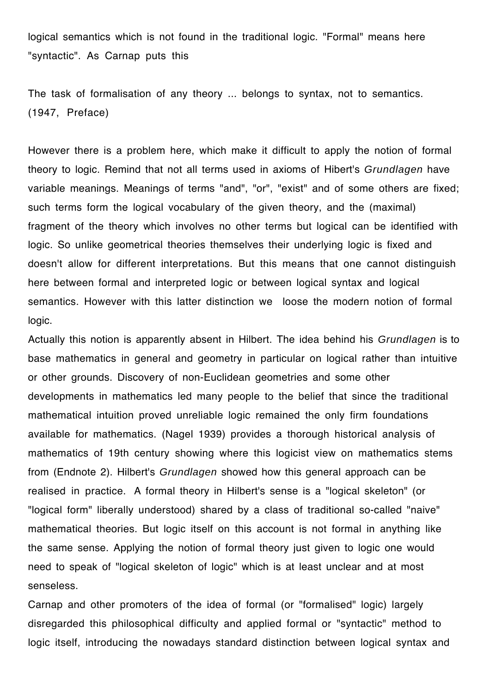logical semantics which is not found in the traditional logic. "Formal" means here "syntactic". As Carnap puts this

The task of formalisation of any theory ... belongs to syntax, not to semantics. (1947, Preface)

However there is a problem here, which make it difficult to apply the notion of formal theory to logic. Remind that not all terms used in axioms of Hibert's *Grundlagen* have variable meanings. Meanings of terms "and", "or", "exist" and of some others are fixed; such terms form the logical vocabulary of the given theory, and the (maximal) fragment of the theory which involves no other terms but logical can be identified with logic. So unlike geometrical theories themselves their underlying logic is fixed and doesn't allow for different interpretations. But this means that one cannot distinguish here between formal and interpreted logic or between logical syntax and logical semantics. However with this latter distinction we loose the modern notion of formal logic.

Actually this notion is apparently absent in Hilbert. The idea behind his *Grundlagen* is to base mathematics in general and geometry in particular on logical rather than intuitive or other grounds. Discovery of non-Euclidean geometries and some other developments in mathematics led many people to the belief that since the traditional mathematical intuition proved unreliable logic remained the only firm foundations available for mathematics. (Nagel 1939) provides a thorough historical analysis of mathematics of 19th century showing where this logicist view on mathematics stems from (Endnote 2). Hilbert's *Grundlagen* showed how this general approach can be realised in practice. A formal theory in Hilbert's sense is a "logical skeleton" (or "logical form" liberally understood) shared by a class of traditional so-called "naive" mathematical theories. But logic itself on this account is not formal in anything like the same sense. Applying the notion of formal theory just given to logic one would need to speak of "logical skeleton of logic" which is at least unclear and at most senseless.

Carnap and other promoters of the idea of formal (or "formalised" logic) largely disregarded this philosophical difficulty and applied formal or "syntactic" method to logic itself, introducing the nowadays standard distinction between logical syntax and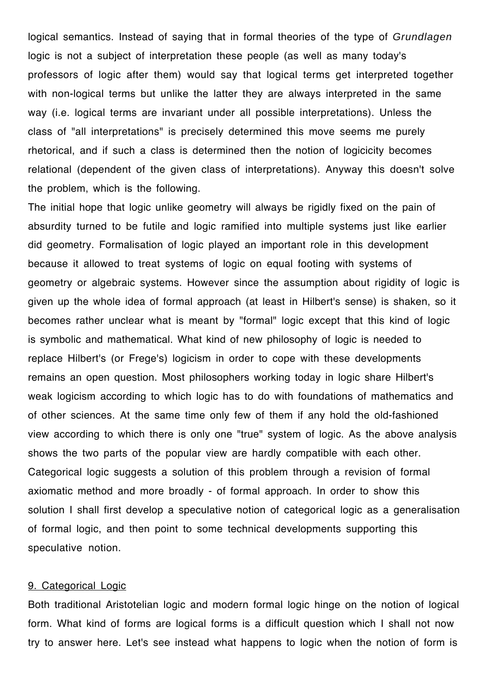logical semantics. Instead of saying that in formal theories of the type of *Grundlagen* logic is not a subject of interpretation these people (as well as many today's professors of logic after them) would say that logical terms get interpreted together with non-logical terms but unlike the latter they are always interpreted in the same way (i.e. logical terms are invariant under all possible interpretations). Unless the class of "all interpretations" is precisely determined this move seems me purely rhetorical, and if such a class is determined then the notion of logicicity becomes relational (dependent of the given class of interpretations). Anyway this doesn't solve the problem, which is the following.

The initial hope that logic unlike geometry will always be rigidly fixed on the pain of absurdity turned to be futile and logic ramified into multiple systems just like earlier did geometry. Formalisation of logic played an important role in this development because it allowed to treat systems of logic on equal footing with systems of geometry or algebraic systems. However since the assumption about rigidity of logic is given up the whole idea of formal approach (at least in Hilbert's sense) is shaken, so it becomes rather unclear what is meant by "formal" logic except that this kind of logic is symbolic and mathematical. What kind of new philosophy of logic is needed to replace Hilbert's (or Frege's) logicism in order to cope with these developments remains an open question. Most philosophers working today in logic share Hilbert's weak logicism according to which logic has to do with foundations of mathematics and of other sciences. At the same time only few of them if any hold the old-fashioned view according to which there is only one "true" system of logic. As the above analysis shows the two parts of the popular view are hardly compatible with each other. Categorical logic suggests a solution of this problem through a revision of formal axiomatic method and more broadly - of formal approach. In order to show this solution I shall first develop a speculative notion of categorical logic as a generalisation of formal logic, and then point to some technical developments supporting this speculative notion.

### 9. Categorical Logic

Both traditional Aristotelian logic and modern formal logic hinge on the notion of logical form. What kind of forms are logical forms is a difficult question which I shall not now try to answer here. Let's see instead what happens to logic when the notion of form is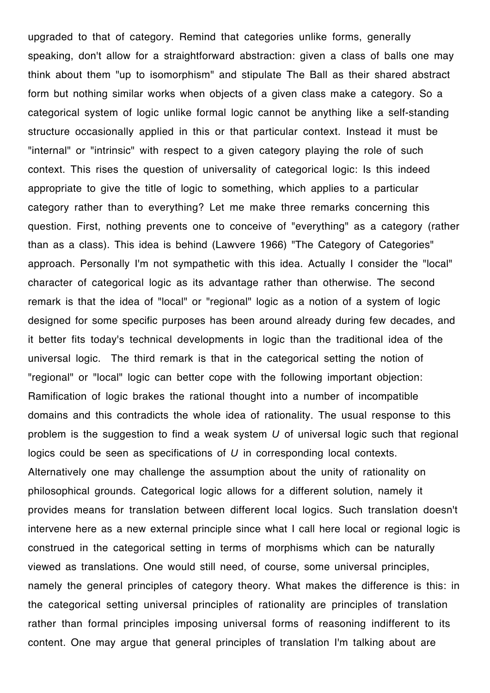upgraded to that of category. Remind that categories unlike forms, generally speaking, don't allow for a straightforward abstraction: given a class of balls one may think about them "up to isomorphism" and stipulate The Ball as their shared abstract form but nothing similar works when objects of a given class make a category. So a categorical system of logic unlike formal logic cannot be anything like a self-standing structure occasionally applied in this or that particular context. Instead it must be "internal" or "intrinsic" with respect to a given category playing the role of such context. This rises the question of universality of categorical logic: Is this indeed appropriate to give the title of logic to something, which applies to a particular category rather than to everything? Let me make three remarks concerning this question. First, nothing prevents one to conceive of "everything" as a category (rather than as a class). This idea is behind (Lawvere 1966) "The Category of Categories" approach. Personally I'm not sympathetic with this idea. Actually I consider the "local" character of categorical logic as its advantage rather than otherwise. The second remark is that the idea of "local" or "regional" logic as a notion of a system of logic designed for some specific purposes has been around already during few decades, and it better fits today's technical developments in logic than the traditional idea of the universal logic. The third remark is that in the categorical setting the notion of "regional" or "local" logic can better cope with the following important objection: Ramification of logic brakes the rational thought into a number of incompatible domains and this contradicts the whole idea of rationality. The usual response to this problem is the suggestion to find a weak system *U* of universal logic such that regional logics could be seen as specifications of *U* in corresponding local contexts. Alternatively one may challenge the assumption about the unity of rationality on philosophical grounds. Categorical logic allows for a different solution, namely it provides means for translation between different local logics. Such translation doesn't intervene here as a new external principle since what I call here local or regional logic is construed in the categorical setting in terms of morphisms which can be naturally viewed as translations. One would still need, of course, some universal principles, namely the general principles of category theory. What makes the difference is this: in the categorical setting universal principles of rationality are principles of translation rather than formal principles imposing universal forms of reasoning indifferent to its content. One may argue that general principles of translation I'm talking about are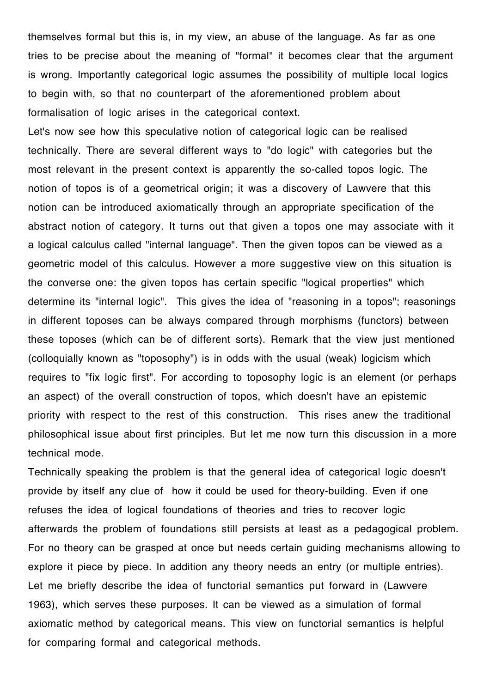themselves formal but this is, in my view, an abuse of the language. As far as one tries to be precise about the meaning of "formal" it becomes clear that the argument is wrong. Importantly categorical logic assumes the possibility of multiple local logics to begin with, so that no counterpart of the aforementioned problem about formalisation of logic arises in the categorical context.

Let's now see how this speculative notion of categorical logic can be realised technically. There are several different ways to "do logic" with categories but the most relevant in the present context is apparently the so-called topos logic. The notion of topos is of a geometrical origin; it was a discovery of Lawvere that this notion can be introduced axiomatically through an appropriate specification of the abstract notion of category. It turns out that given a topos one may associate with it a logical calculus called "internal language". Then the given topos can be viewed as a geometric model of this calculus. However a more suggestive view on this situation is the converse one: the given topos has certain specific "logical properties" which determine its "internal logic". This gives the idea of "reasoning in a topos"; reasonings in different toposes can be always compared through morphisms (functors) between these toposes (which can be of different sorts). Remark that the view just mentioned (colloquially known as "toposophy") is in odds with the usual (weak) logicism which requires to "fix logic first". For according to toposophy logic is an element (or perhaps an aspect) of the overall construction of topos, which doesn't have an epistemic priority with respect to the rest of this construction. This rises anew the traditional philosophical issue about first principles. But let me now turn this discussion in a more technical mode.

Technically speaking the problem is that the general idea of categorical logic doesn't provide by itself any clue of how it could be used for theory-building. Even if one refuses the idea of logical foundations of theories and tries to recover logic afterwards the problem of foundations still persists at least as a pedagogical problem. For no theory can be grasped at once but needs certain guiding mechanisms allowing to explore it piece by piece. In addition any theory needs an entry (or multiple entries). Let me briefly describe the idea of functorial semantics put forward in (Lawvere 1963), which serves these purposes. It can be viewed as a simulation of formal axiomatic method by categorical means. This view on functorial semantics is helpful for comparing formal and categorical methods.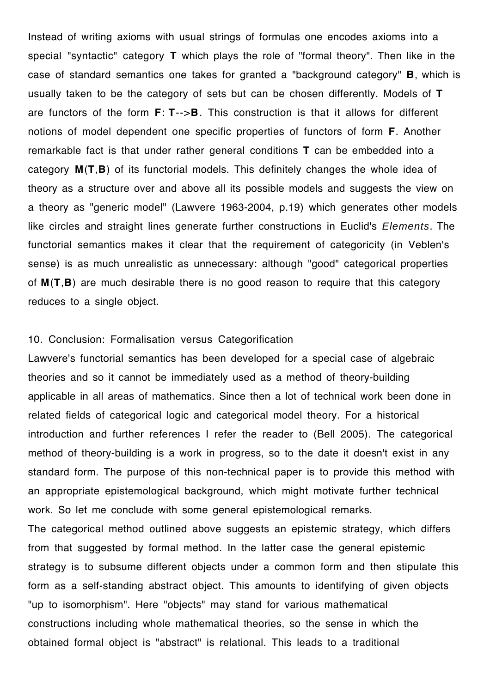Instead of writing axioms with usual strings of formulas one encodes axioms into a special "syntactic" category **T** which plays the role of "formal theory". Then like in the case of standard semantics one takes for granted a "background category" **B**, which is usually taken to be the category of sets but can be chosen differently. Models of **T** are functors of the form **F**: **T**-->**B**. This construction is that it allows for different notions of model dependent one specific properties of functors of form **F**. Another remarkable fact is that under rather general conditions **T** can be embedded into a category **M**(**T**,**B**) of its functorial models. This definitely changes the whole idea of theory as a structure over and above all its possible models and suggests the view on a theory as "generic model" (Lawvere 1963-2004, p.19) which generates other models like circles and straight lines generate further constructions in Euclid's *Elements*. The functorial semantics makes it clear that the requirement of categoricity (in Veblen's sense) is as much unrealistic as unnecessary: although "good" categorical properties of **M**(**T**,**B**) are much desirable there is no good reason to require that this category reduces to a single object.

### 10. Conclusion: Formalisation versus Categorification

Lawvere's functorial semantics has been developed for a special case of algebraic theories and so it cannot be immediately used as a method of theory-building applicable in all areas of mathematics. Since then a lot of technical work been done in related fields of categorical logic and categorical model theory. For a historical introduction and further references I refer the reader to (Bell 2005). The categorical method of theory-building is a work in progress, so to the date it doesn't exist in any standard form. The purpose of this non-technical paper is to provide this method with an appropriate epistemological background, which might motivate further technical work. So let me conclude with some general epistemological remarks.

The categorical method outlined above suggests an epistemic strategy, which differs from that suggested by formal method. In the latter case the general epistemic strategy is to subsume different objects under a common form and then stipulate this form as a self-standing abstract object. This amounts to identifying of given objects "up to isomorphism". Here "objects" may stand for various mathematical constructions including whole mathematical theories, so the sense in which the obtained formal object is "abstract" is relational. This leads to a traditional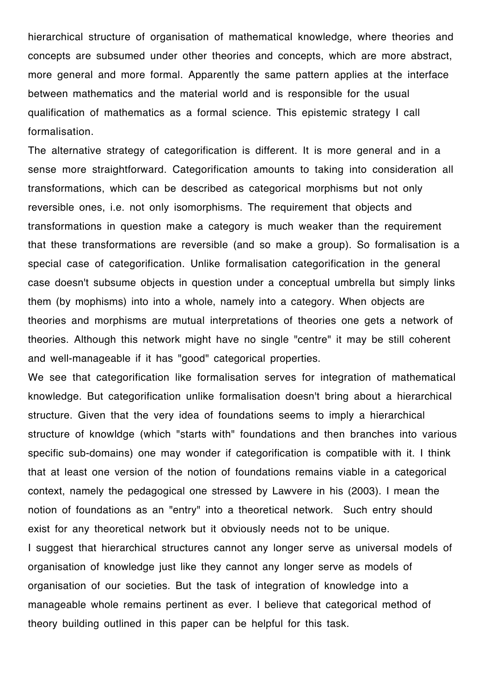hierarchical structure of organisation of mathematical knowledge, where theories and concepts are subsumed under other theories and concepts, which are more abstract, more general and more formal. Apparently the same pattern applies at the interface between mathematics and the material world and is responsible for the usual qualification of mathematics as a formal science. This epistemic strategy I call formalisation.

The alternative strategy of categorification is different. It is more general and in a sense more straightforward. Categorification amounts to taking into consideration all transformations, which can be described as categorical morphisms but not only reversible ones, i.e. not only isomorphisms. The requirement that objects and transformations in question make a category is much weaker than the requirement that these transformations are reversible (and so make a group). So formalisation is a special case of categorification. Unlike formalisation categorification in the general case doesn't subsume objects in question under a conceptual umbrella but simply links them (by mophisms) into into a whole, namely into a category. When objects are theories and morphisms are mutual interpretations of theories one gets a network of theories. Although this network might have no single "centre" it may be still coherent and well-manageable if it has "good" categorical properties.

We see that categorification like formalisation serves for integration of mathematical knowledge. But categorification unlike formalisation doesn't bring about a hierarchical structure. Given that the very idea of foundations seems to imply a hierarchical structure of knowldge (which "starts with" foundations and then branches into various specific sub-domains) one may wonder if categorification is compatible with it. I think that at least one version of the notion of foundations remains viable in a categorical context, namely the pedagogical one stressed by Lawvere in his (2003). I mean the notion of foundations as an "entry" into a theoretical network. Such entry should exist for any theoretical network but it obviously needs not to be unique. I suggest that hierarchical structures cannot any longer serve as universal models of organisation of knowledge just like they cannot any longer serve as models of organisation of our societies. But the task of integration of knowledge into a manageable whole remains pertinent as ever. I believe that categorical method of theory building outlined in this paper can be helpful for this task.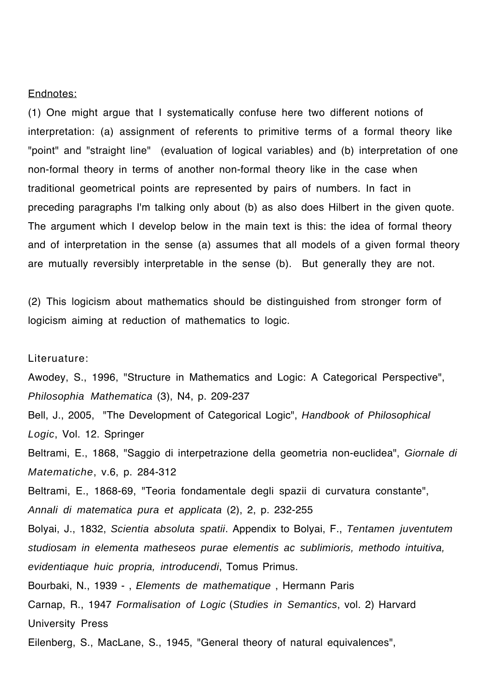#### Endnotes:

(1) One might argue that I systematically confuse here two different notions of interpretation: (a) assignment of referents to primitive terms of a formal theory like "point" and "straight line" (evaluation of logical variables) and (b) interpretation of one non-formal theory in terms of another non-formal theory like in the case when traditional geometrical points are represented by pairs of numbers. In fact in preceding paragraphs I'm talking only about (b) as also does Hilbert in the given quote. The argument which I develop below in the main text is this: the idea of formal theory and of interpretation in the sense (a) assumes that all models of a given formal theory are mutually reversibly interpretable in the sense (b). But generally they are not.

(2) This logicism about mathematics should be distinguished from stronger form of logicism aiming at reduction of mathematics to logic.

Literuature:

Awodey, S., 1996, "Structure in Mathematics and Logic: A Categorical Perspective", *Philosophia Mathematica* (3), N4, p. 209-237

Bell, J., 2005, "The Development of Categorical Logic", *Handbook of Philosophical Logic*, Vol. 12. Springer

Beltrami, E., 1868, "Saggio di interpetrazione della geometria non-euclidea", *Giornale di Matematiche*, v.6, p. 284-312

Beltrami, E., 1868-69, "Teoria fondamentale degli spazii di curvatura constante", *Annali di matematica pura et applicata* (2), 2, p. 232-255

Bolyai, J., 1832, *Scientia absoluta spatii*. Appendix to Bolyai, F., *Tentamen juventutem studiosam in elementa matheseos purae elementis ac sublimioris, methodo intuitiva, evidentiaque huic propria, introducendi*, Tomus Primus.

Bourbaki, N., 1939 - , *Elements de mathematique* , Hermann Paris

Carnap, R., 1947 *Formalisation of Logic* (*Studies in Semantics*, vol. 2) Harvard University Press

Eilenberg, S., MacLane, S., 1945, "General theory of natural equivalences",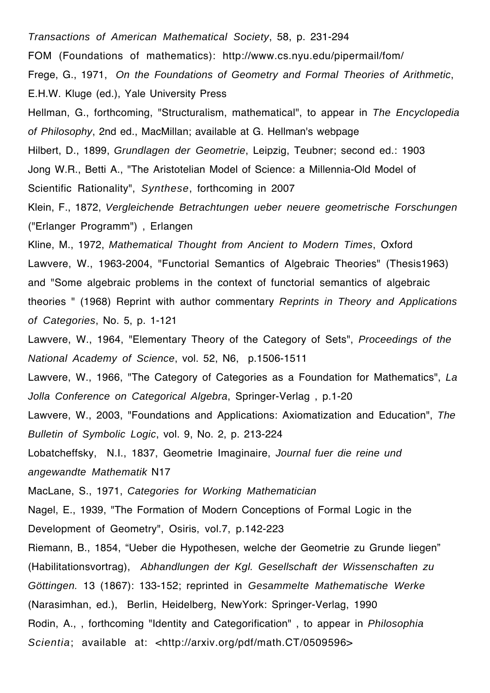*Transactions of American Mathematical Society*, 58, p. 231-294

FOM (Foundations of mathematics): http://www.cs.nyu.edu/pipermail/fom/

Frege, G., 1971, *On the Foundations of Geometry and Formal Theories of Arithmetic*, E.H.W. Kluge (ed.), Yale University Press

Hellman, G., forthcoming, "Structuralism, mathematical", to appear in *The Encyclopedia of Philosophy*, 2nd ed., MacMillan; available at G. Hellman's webpage Hilbert, D., 1899, *Grundlagen der Geometrie*, Leipzig, Teubner; second ed.: 1903 Jong W.R., Betti A., "The Aristotelian Model of Science: a Millennia-Old Model of Scientific Rationality", *Synthese*, forthcoming in 2007

Klein, F., 1872, *Vergleichende Betrachtungen ueber neuere geometrische Forschungen* ("Erlanger Programm") , Erlangen

Kline, M., 1972, *Mathematical Thought from Ancient to Modern Times*, Oxford Lawvere, W., 1963-2004, "Functorial Semantics of Algebraic Theories" (Thesis1963) and "Some algebraic problems in the context of functorial semantics of algebraic theories " (1968) Reprint with author commentary *Reprints in Theory and Applications of Categories*, No. 5, p. 1-121

Lawvere, W., 1964, "Elementary Theory of the Category of Sets", *Proceedings of the National Academy of Science*, vol. 52, N6, p.1506-1511

Lawvere, W., 1966, "The Category of Categories as a Foundation for Mathematics", *La Jolla Conference on Categorical Algebra*, Springer-Verlag , p.1-20

Lawvere, W., 2003, "Foundations and Applications: Axiomatization and Education", *The Bulletin of Symbolic Logic*, vol. 9, No. 2, p. 213-224

Lobatcheffsky, N.I., 1837, Geometrie Imaginaire, *Journal fuer die reine und angewandte Mathematik* N17

MacLane, S., 1971, *Categories for Working Mathematician*

Nagel, E., 1939, "The Formation of Modern Conceptions of Formal Logic in the Development of Geometry", Osiris, vol.7, p.142-223

Riemann, B., 1854, "Ueber die Hypothesen, welche der Geometrie zu Grunde liegen" (Habilitationsvortrag), *Abhandlungen der Kgl. Gesellschaft der Wissenschaften zu Göttingen.* 13 (1867): 133-152; reprinted in *Gesammelte Mathematische Werke* (Narasimhan, ed.), Berlin, Heidelberg, NewYork: Springer-Verlag, 1990 Rodin, A., , forthcoming "Identity and Categorification" , to appear in *Philosophia*  Scientia; available at: <http://arxiv.org/pdf/math.CT/0509596>